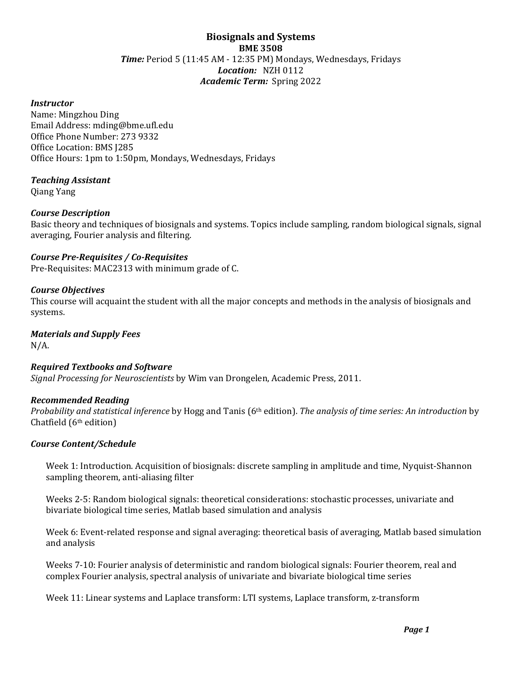# **Biosignals and Systems BME 3508** *Time:* Period 5 (11:45 AM - 12:35 PM) Mondays, Wednesdays, Fridays *Location:* NZH 0112 *Academic Term:* Spring 2022

### *Instructor*

Name: Mingzhou Ding Email Address: mding@bme.ufl.edu Office Phone Number: 273 9332 Office Location: BMS J285 Office Hours: 1pm to 1:50pm, Mondays, Wednesdays, Fridays

### *Teaching Assistant*

Qiang Yang

### *Course Description*

Basic theory and techniques of biosignals and systems. Topics include sampling, random biological signals, signal averaging, Fourier analysis and filtering.

### *Course Pre-Requisites / Co-Requisites*

Pre-Requisites: MAC2313 with minimum grade of C.

### *Course Objectives*

This course will acquaint the student with all the major concepts and methods in the analysis of biosignals and systems.

#### *Materials and Supply Fees* N/A.

### *Required Textbooks and Software*

*Signal Processing for Neuroscientists* by Wim van Drongelen, Academic Press, 2011.

### *Recommended Reading*

*Probability and statistical inference* by Hogg and Tanis (6th edition). *The analysis of time series: An introduction* by Chatfield (6th edition)

### *Course Content/Schedule*

Week 1: Introduction. Acquisition of biosignals: discrete sampling in amplitude and time, Nyquist-Shannon sampling theorem, anti-aliasing filter

Weeks 2-5: Random biological signals: theoretical considerations: stochastic processes, univariate and bivariate biological time series, Matlab based simulation and analysis

Week 6: Event-related response and signal averaging: theoretical basis of averaging, Matlab based simulation and analysis

Weeks 7-10: Fourier analysis of deterministic and random biological signals: Fourier theorem, real and complex Fourier analysis, spectral analysis of univariate and bivariate biological time series

Week 11: Linear systems and Laplace transform: LTI systems, Laplace transform, z-transform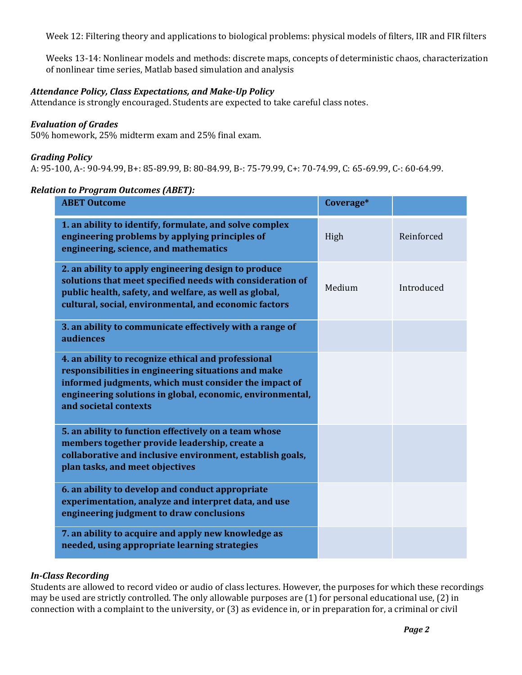Week 12: Filtering theory and applications to biological problems: physical models of filters, IIR and FIR filters

Weeks 13-14: Nonlinear models and methods: discrete maps, concepts of deterministic chaos, characterization of nonlinear time series, Matlab based simulation and analysis

### *Attendance Policy, Class Expectations, and Make-Up Policy*

Attendance is strongly encouraged. Students are expected to take careful class notes.

#### *Evaluation of Grades*

50% homework, 25% midterm exam and 25% final exam.

#### *Grading Policy*

A: 95-100, A-: 90-94.99, B+: 85-89.99, B: 80-84.99, B-: 75-79.99, C+: 70-74.99, C: 65-69.99, C-: 60-64.99.

#### *Relation to Program Outcomes (ABET):*

| <b>ABET Outcome</b>                                                                                                                                                                                                                                       | Coverage* |            |
|-----------------------------------------------------------------------------------------------------------------------------------------------------------------------------------------------------------------------------------------------------------|-----------|------------|
| 1. an ability to identify, formulate, and solve complex<br>engineering problems by applying principles of<br>engineering, science, and mathematics                                                                                                        | High      | Reinforced |
| 2. an ability to apply engineering design to produce<br>solutions that meet specified needs with consideration of<br>public health, safety, and welfare, as well as global,<br>cultural, social, environmental, and economic factors                      | Medium    | Introduced |
| 3. an ability to communicate effectively with a range of<br>audiences                                                                                                                                                                                     |           |            |
| 4. an ability to recognize ethical and professional<br>responsibilities in engineering situations and make<br>informed judgments, which must consider the impact of<br>engineering solutions in global, economic, environmental,<br>and societal contexts |           |            |
| 5. an ability to function effectively on a team whose<br>members together provide leadership, create a<br>collaborative and inclusive environment, establish goals,<br>plan tasks, and meet objectives                                                    |           |            |
| 6. an ability to develop and conduct appropriate<br>experimentation, analyze and interpret data, and use<br>engineering judgment to draw conclusions                                                                                                      |           |            |
| 7. an ability to acquire and apply new knowledge as<br>needed, using appropriate learning strategies                                                                                                                                                      |           |            |

### *In-Class Recording*

Students are allowed to record video or audio of class lectures. However, the purposes for which these recordings may be used are strictly controlled. The only allowable purposes are (1) for personal educational use, (2) in connection with a complaint to the university, or (3) as evidence in, or in preparation for, a criminal or civil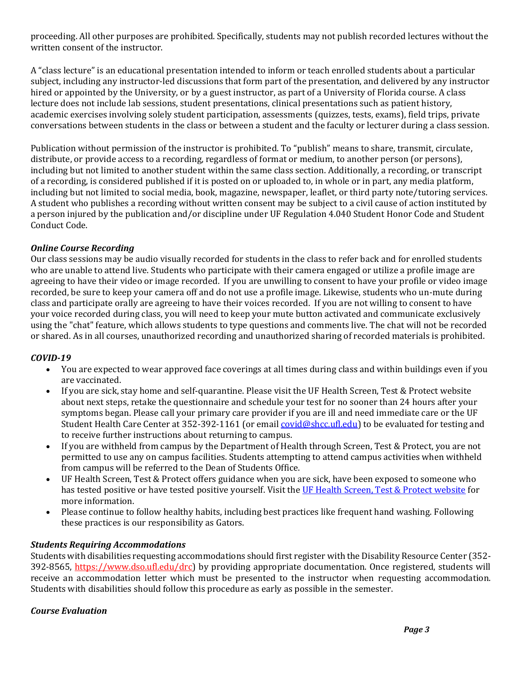proceeding. All other purposes are prohibited. Specifically, students may not publish recorded lectures without the written consent of the instructor.

A "class lecture" is an educational presentation intended to inform or teach enrolled students about a particular subject, including any instructor-led discussions that form part of the presentation, and delivered by any instructor hired or appointed by the University, or by a guest instructor, as part of a University of Florida course. A class lecture does not include lab sessions, student presentations, clinical presentations such as patient history, academic exercises involving solely student participation, assessments (quizzes, tests, exams), field trips, private conversations between students in the class or between a student and the faculty or lecturer during a class session.

Publication without permission of the instructor is prohibited. To "publish" means to share, transmit, circulate, distribute, or provide access to a recording, regardless of format or medium, to another person (or persons), including but not limited to another student within the same class section. Additionally, a recording, or transcript of a recording, is considered published if it is posted on or uploaded to, in whole or in part, any media platform, including but not limited to social media, book, magazine, newspaper, leaflet, or third party note/tutoring services. A student who publishes a recording without written consent may be subject to a civil cause of action instituted by a person injured by the publication and/or discipline under UF Regulation 4.040 Student Honor Code and Student Conduct Code.

# *Online Course Recording*

Our class sessions may be audio visually recorded for students in the class to refer back and for enrolled students who are unable to attend live. Students who participate with their camera engaged or utilize a profile image are agreeing to have their video or image recorded. If you are unwilling to consent to have your profile or video image recorded, be sure to keep your camera off and do not use a profile image. Likewise, students who un-mute during class and participate orally are agreeing to have their voices recorded. If you are not willing to consent to have your voice recorded during class, you will need to keep your mute button activated and communicate exclusively using the "chat" feature, which allows students to type questions and comments live. The chat will not be recorded or shared. As in all courses, unauthorized recording and unauthorized sharing of recorded materials is prohibited.

# *COVID-19*

- You are expected to wear approved face coverings at all times during class and within buildings even if you are vaccinated.
- If you are sick, stay home and self-quarantine. Please visit the UF Health Screen, Test & Protect website about next steps, retake the questionnaire and schedule your test for no sooner than 24 hours after your symptoms began. Please call your primary care provider if you are ill and need immediate care or the UF Student Health Care Center at 352-392-1161 (or email [covid@shcc.ufl.edu\)](mailto:covid@shcc.ufl.edu) to be evaluated for testing and to receive further instructions about returning to campus.
- If you are withheld from campus by the Department of Health through Screen, Test & Protect, you are not permitted to use any on campus facilities. Students attempting to attend campus activities when withheld from campus will be referred to the Dean of Students Office.
- UF Health Screen, Test & Protect offers guidance when you are sick, have been exposed to someone who has tested positive or have tested positive yourself. Visit the [UF Health Screen, Test & Protect website](https://click.info.gator360.ufl.edu/?qs=8f0d5e01a3f7385148f144e2089093522a358a8d85cb9db73c31675d3c5e5c0d27748d40c212f544822551342f1912ea5b4f2b890d5952e8) for more information.
- Please continue to follow healthy habits, including best practices like frequent hand washing. Following these practices is our responsibility as Gators.

# *Students Requiring Accommodations*

Students with disabilities requesting accommodations should first register with the Disability Resource Center (352- 392-8565, https://www.dso.ufl.edu/drc) by providing appropriate documentation. Once registered, students will receive an accommodation letter which must be presented to the instructor when requesting accommodation. Students with disabilities should follow this procedure as early as possible in the semester.

# *Course Evaluation*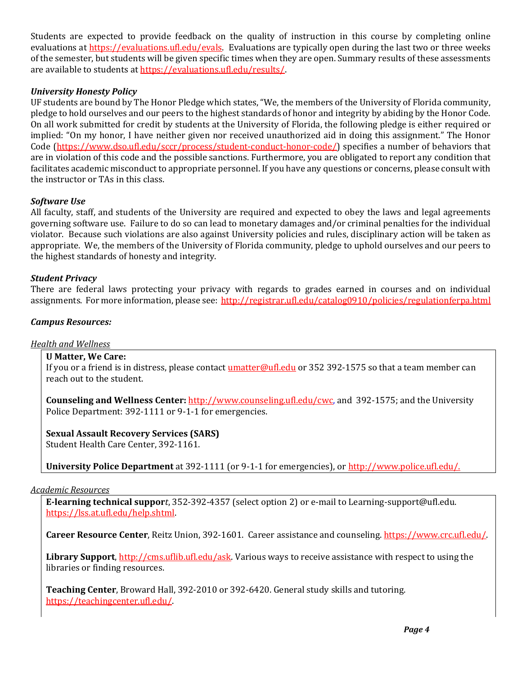Students are expected to provide feedback on the quality of instruction in this course by completing online evaluations at [https://evaluations.ufl.edu/evals.](https://evaluations.ufl.edu/evals) Evaluations are typically open during the last two or three weeks of the semester, but students will be given specific times when they are open. Summary results of these assessments are available to students at [https://evaluations.ufl.edu/results/.](https://evaluations.ufl.edu/results/)

# *University Honesty Policy*

UF students are bound by The Honor Pledge which states, "We, the members of the University of Florida community, pledge to hold ourselves and our peers to the highest standards of honor and integrity by abiding by the Honor Code. On all work submitted for credit by students at the University of Florida, the following pledge is either required or implied: "On my honor, I have neither given nor received unauthorized aid in doing this assignment." The Honor Code (https://www.dso.ufl.edu/sccr/process/student-conduct-honor-code/) specifies a number of behaviors that are in violation of this code and the possible sanctions. Furthermore, you are obligated to report any condition that facilitates academic misconduct to appropriate personnel. If you have any questions or concerns, please consult with the instructor or TAs in this class.

# *Software Use*

All faculty, staff, and students of the University are required and expected to obey the laws and legal agreements governing software use. Failure to do so can lead to monetary damages and/or criminal penalties for the individual violator. Because such violations are also against University policies and rules, disciplinary action will be taken as appropriate. We, the members of the University of Florida community, pledge to uphold ourselves and our peers to the highest standards of honesty and integrity.

# *Student Privacy*

There are federal laws protecting your privacy with regards to grades earned in courses and on individual assignments. For more information, please see:<http://registrar.ufl.edu/catalog0910/policies/regulationferpa.html>

# *Campus Resources:*

# *Health and Wellness*

# **U Matter, We Care:**

If you or a friend is in distress, please contact umatter@ufl.edu or 352 392-1575 so that a team member can reach out to the student.

**Counseling and Wellness Center:** [http://www.counseling.ufl.edu/cwc,](http://www.counseling.ufl.edu/cwc) and 392-1575; and the University Police Department: 392-1111 or 9-1-1 for emergencies.

#### **Sexual Assault Recovery Services (SARS)**  Student Health Care Center, 392-1161.

**University Police Department** at 392-1111 (or 9-1-1 for emergencies), or [http://www.police.ufl.edu/.](http://www.police.ufl.edu/)

### *Academic Resources*

**E-learning technical suppor***t*, 352-392-4357 (select option 2) or e-mail to Learning-support@ufl.edu. [https://lss.at.ufl.edu/help.shtml.](https://lss.at.ufl.edu/help.shtml)

**Career Resource Center**, Reitz Union, 392-1601. Career assistance and counseling[. https://www.crc.ufl.edu/.](https://www.crc.ufl.edu/)

**Library Support**[, http://cms.uflib.ufl.edu/ask.](http://cms.uflib.ufl.edu/ask) Various ways to receive assistance with respect to using the libraries or finding resources.

**Teaching Center**, Broward Hall, 392-2010 or 392-6420. General study skills and tutoring. [https://teachingcenter.ufl.edu/.](https://teachingcenter.ufl.edu/)